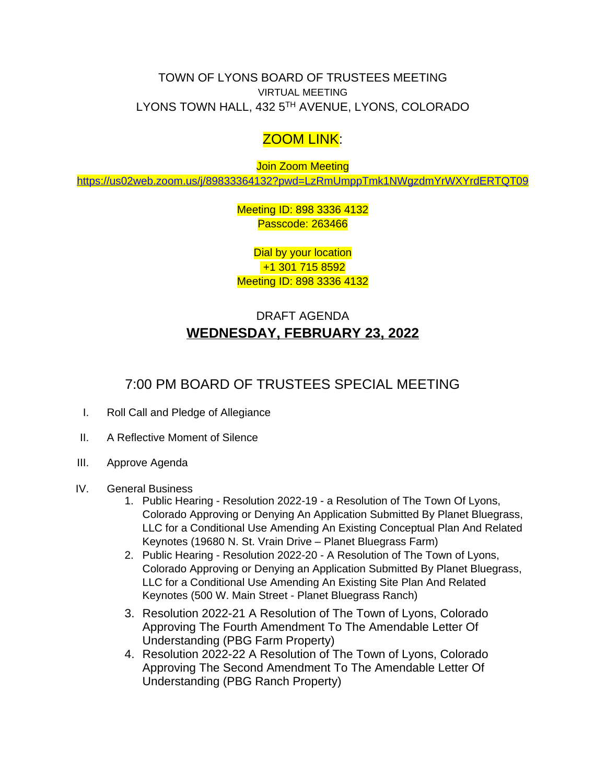TOWN OF LYONS BOARD OF TRUSTEES MEETING VIRTUAL MEETING LYONS TOWN HALL, 432 5<sup>TH</sup> AVENUE, LYONS, COLORADO

## ZOOM LINK:

**Join Zoom Meeting** 

<https://us02web.zoom.us/j/89833364132?pwd=LzRmUmppTmk1NWgzdmYrWXYrdERTQT09>

Meeting ID: 898 3336 4132 Passcode: 263466

Dial by your location +1 301 715 8592 Meeting ID: 898 3336 4132

## DRAFT AGENDA **WEDNESDAY, FEBRUARY 23, 2022**

## 7:00 PM BOARD OF TRUSTEES SPECIAL MEETING

- I. Roll Call and Pledge of Allegiance
- II. A Reflective Moment of Silence
- III. Approve Agenda
- IV. General Business
	- 1. Public Hearing Resolution 2022-19 a Resolution of The Town Of Lyons, Colorado Approving or Denying An Application Submitted By Planet Bluegrass, LLC for a Conditional Use Amending An Existing Conceptual Plan And Related Keynotes (19680 N. St. Vrain Drive – Planet Bluegrass Farm)
	- 2. Public Hearing Resolution 2022-20 A Resolution of The Town of Lyons, Colorado Approving or Denying an Application Submitted By Planet Bluegrass, LLC for a Conditional Use Amending An Existing Site Plan And Related Keynotes (500 W. Main Street - Planet Bluegrass Ranch)
	- 3. Resolution 2022-21 A Resolution of The Town of Lyons, Colorado Approving The Fourth Amendment To The Amendable Letter Of Understanding (PBG Farm Property)
	- 4. Resolution 2022-22 A Resolution of The Town of Lyons, Colorado Approving The Second Amendment To The Amendable Letter Of Understanding (PBG Ranch Property)